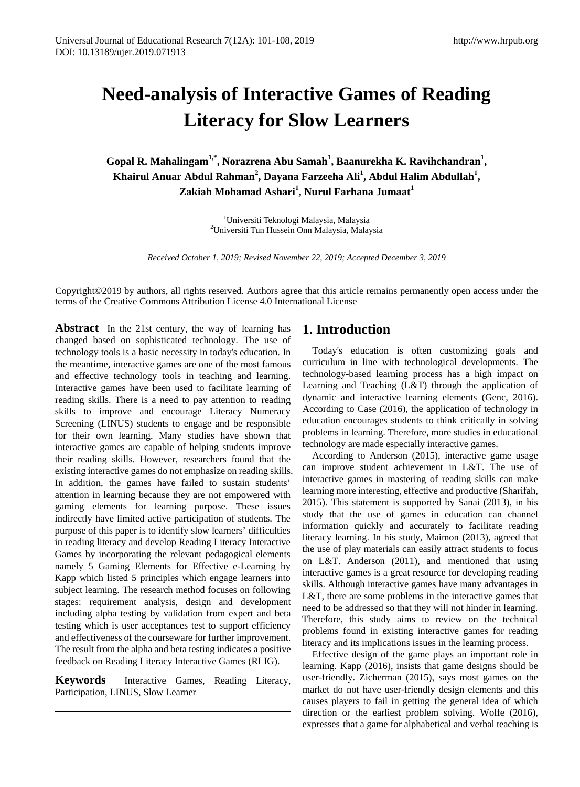# **Need-analysis of Interactive Games of Reading Literacy for Slow Learners**

**Gopal R. Mahalingam1,\*, Norazrena Abu Samah<sup>1</sup> , Baanurekha K. Ravihchandran<sup>1</sup> , Khairul Anuar Abdul Rahman<sup>2</sup> , Dayana Farzeeha Ali 1 , Abdul Halim Abdullah<sup>1</sup> , Zakiah Mohamad Ashari<sup>1</sup> , Nurul Farhana Jumaat<sup>1</sup>**

> <sup>1</sup>Universiti Teknologi Malaysia, Malaysia<br><sup>2</sup>Universiti Tun Hussein Onn Malaysia, Mala Universiti Tun Hussein Onn Malaysia, Malaysia

*Received October 1, 2019; Revised November 22, 2019; Accepted December 3, 2019* 

Copyright©2019 by authors, all rights reserved. Authors agree that this article remains permanently open access under the terms of the Creative Commons Attribution License 4.0 International License

**Abstract** In the 21st century, the way of learning has changed based on sophisticated technology. The use of technology tools is a basic necessity in today's education. In the meantime, interactive games are one of the most famous and effective technology tools in teaching and learning. Interactive games have been used to facilitate learning of reading skills. There is a need to pay attention to reading skills to improve and encourage Literacy Numeracy Screening (LINUS) students to engage and be responsible for their own learning. Many studies have shown that interactive games are capable of helping students improve their reading skills. However, researchers found that the existing interactive games do not emphasize on reading skills. In addition, the games have failed to sustain students' attention in learning because they are not empowered with gaming elements for learning purpose. These issues indirectly have limited active participation of students. The purpose of this paper is to identify slow learners' difficulties in reading literacy and develop Reading Literacy Interactive Games by incorporating the relevant pedagogical elements namely 5 Gaming Elements for Effective e-Learning by Kapp which listed 5 principles which engage learners into subject learning. The research method focuses on following stages: requirement analysis, design and development including alpha testing by validation from expert and beta testing which is user acceptances test to support efficiency and effectiveness of the courseware for further improvement. The result from the alpha and beta testing indicates a positive feedback on Reading Literacy Interactive Games (RLIG).

**Keywords** Interactive Games, Reading Literacy, Participation, LINUS, Slow Learner

# **1. Introduction**

Today's education is often customizing goals and curriculum in line with technological developments. The technology-based learning process has a high impact on Learning and Teaching (L&T) through the application of dynamic and interactive learning elements (Genc, 2016). According to Case (2016), the application of technology in education encourages students to think critically in solving problems in learning. Therefore, more studies in educational technology are made especially interactive games.

According to Anderson (2015), interactive game usage can improve student achievement in L&T. The use of interactive games in mastering of reading skills can make learning more interesting, effective and productive (Sharifah, 2015). This statement is supported by Sanai (2013), in his study that the use of games in education can channel information quickly and accurately to facilitate reading literacy learning. In his study, Maimon (2013), agreed that the use of play materials can easily attract students to focus on L&T. Anderson (2011), and mentioned that using interactive games is a great resource for developing reading skills. Although interactive games have many advantages in L&T, there are some problems in the interactive games that need to be addressed so that they will not hinder in learning. Therefore, this study aims to review on the technical problems found in existing interactive games for reading literacy and its implications issues in the learning process.

Effective design of the game plays an important role in learning. Kapp (2016), insists that game designs should be user-friendly. Zicherman (2015), says most games on the market do not have user-friendly design elements and this causes players to fail in getting the general idea of which direction or the earliest problem solving. Wolfe (2016), expresses that a game for alphabetical and verbal teaching is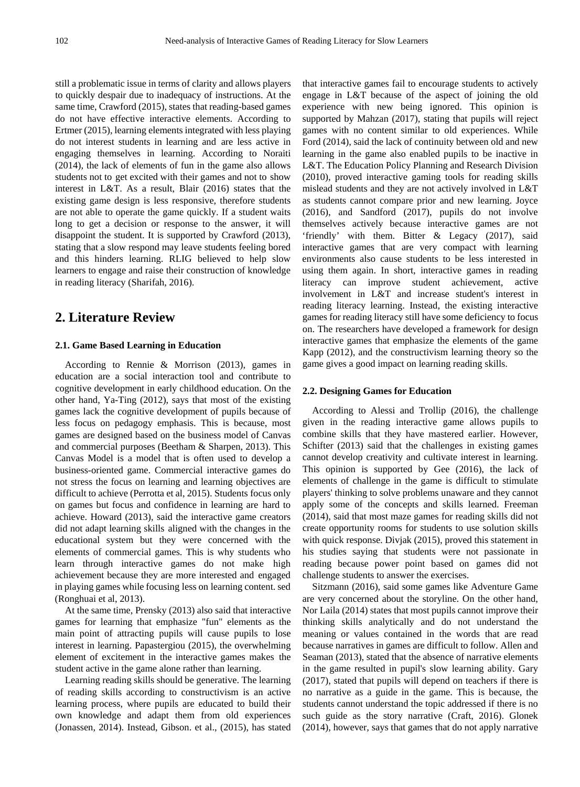still a problematic issue in terms of clarity and allows players to quickly despair due to inadequacy of instructions. At the same time, Crawford (2015), states that reading-based games do not have effective interactive elements. According to Ertmer (2015), learning elements integrated with less playing do not interest students in learning and are less active in engaging themselves in learning. According to Noraiti (2014), the lack of elements of fun in the game also allows students not to get excited with their games and not to show interest in L&T. As a result, Blair (2016) states that the existing game design is less responsive, therefore students are not able to operate the game quickly. If a student waits long to get a decision or response to the answer, it will disappoint the student. It is supported by Crawford (2013), stating that a slow respond may leave students feeling bored and this hinders learning. RLIG believed to help slow learners to engage and raise their construction of knowledge in reading literacy (Sharifah, 2016).

## **2. Literature Review**

#### **2.1. Game Based Learning in Education**

According to Rennie & Morrison (2013), games in education are a social interaction tool and contribute to cognitive development in early childhood education. On the other hand, Ya-Ting (2012), says that most of the existing games lack the cognitive development of pupils because of less focus on pedagogy emphasis. This is because, most games are designed based on the business model of Canvas and commercial purposes (Beetham & Sharpen, 2013). This Canvas Model is a model that is often used to develop a business-oriented game. Commercial interactive games do not stress the focus on learning and learning objectives are difficult to achieve (Perrotta et al, 2015). Students focus only on games but focus and confidence in learning are hard to achieve. Howard (2013), said the interactive game creators did not adapt learning skills aligned with the changes in the educational system but they were concerned with the elements of commercial games. This is why students who learn through interactive games do not make high achievement because they are more interested and engaged in playing games while focusing less on learning content. sed (Ronghuai et al, 2013).

At the same time, Prensky (2013) also said that interactive games for learning that emphasize "fun" elements as the main point of attracting pupils will cause pupils to lose interest in learning. Papastergiou (2015), the overwhelming element of excitement in the interactive games makes the student active in the game alone rather than learning.

Learning reading skills should be generative. The learning of reading skills according to constructivism is an active learning process, where pupils are educated to build their own knowledge and adapt them from old experiences (Jonassen, 2014). Instead, Gibson. et al., (2015), has stated that interactive games fail to encourage students to actively engage in L&T because of the aspect of joining the old experience with new being ignored. This opinion is supported by Mahzan (2017), stating that pupils will reject games with no content similar to old experiences. While Ford (2014), said the lack of continuity between old and new learning in the game also enabled pupils to be inactive in L&T. The Education Policy Planning and Research Division (2010), proved interactive gaming tools for reading skills mislead students and they are not actively involved in L&T as students cannot compare prior and new learning. Joyce (2016), and Sandford (2017), pupils do not involve themselves actively because interactive games are not 'friendly' with them. Bitter & Legacy (2017), said interactive games that are very compact with learning environments also cause students to be less interested in using them again. In short, interactive games in reading literacy can improve student achievement, active involvement in L&T and increase student's interest in reading literacy learning. Instead, the existing interactive games for reading literacy still have some deficiency to focus on. The researchers have developed a framework for design interactive games that emphasize the elements of the game Kapp (2012), and the constructivism learning theory so the game gives a good impact on learning reading skills.

#### **2.2. Designing Games for Education**

According to Alessi and Trollip (2016), the challenge given in the reading interactive game allows pupils to combine skills that they have mastered earlier. However, Schifter (2013) said that the challenges in existing games cannot develop creativity and cultivate interest in learning. This opinion is supported by Gee (2016), the lack of elements of challenge in the game is difficult to stimulate players' thinking to solve problems unaware and they cannot apply some of the concepts and skills learned. Freeman (2014), said that most maze games for reading skills did not create opportunity rooms for students to use solution skills with quick response. Divjak (2015), proved this statement in his studies saying that students were not passionate in reading because power point based on games did not challenge students to answer the exercises.

Sitzmann (2016), said some games like Adventure Game are very concerned about the storyline. On the other hand, Nor Laila (2014) states that most pupils cannot improve their thinking skills analytically and do not understand the meaning or values contained in the words that are read because narratives in games are difficult to follow. Allen and Seaman (2013), stated that the absence of narrative elements in the game resulted in pupil's slow learning ability. Gary (2017), stated that pupils will depend on teachers if there is no narrative as a guide in the game. This is because, the students cannot understand the topic addressed if there is no such guide as the story narrative (Craft, 2016). Glonek (2014), however, says that games that do not apply narrative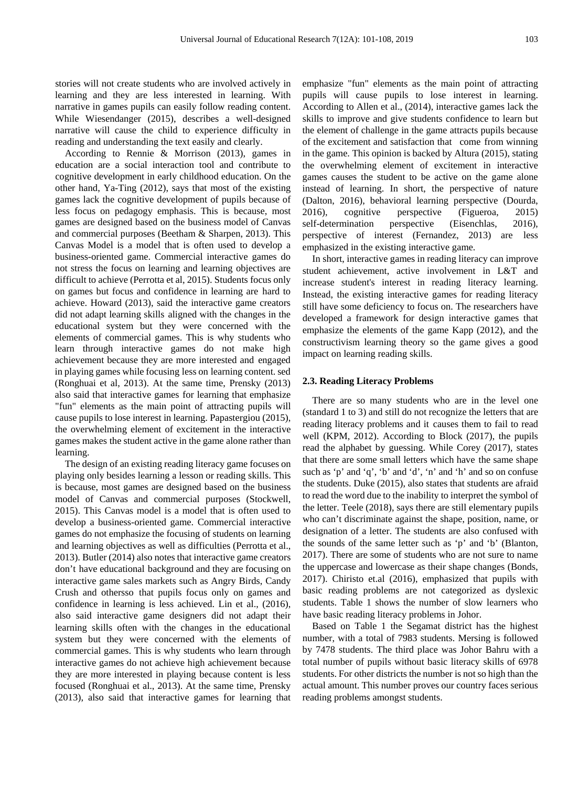stories will not create students who are involved actively in learning and they are less interested in learning. With narrative in games pupils can easily follow reading content. While Wiesendanger (2015), describes a well-designed narrative will cause the child to experience difficulty in reading and understanding the text easily and clearly.

According to Rennie & Morrison (2013), games in education are a social interaction tool and contribute to cognitive development in early childhood education. On the other hand, Ya-Ting (2012), says that most of the existing games lack the cognitive development of pupils because of less focus on pedagogy emphasis. This is because, most games are designed based on the business model of Canvas and commercial purposes (Beetham & Sharpen, 2013). This Canvas Model is a model that is often used to develop a business-oriented game. Commercial interactive games do not stress the focus on learning and learning objectives are difficult to achieve (Perrotta et al, 2015). Students focus only on games but focus and confidence in learning are hard to achieve. Howard (2013), said the interactive game creators did not adapt learning skills aligned with the changes in the educational system but they were concerned with the elements of commercial games. This is why students who learn through interactive games do not make high achievement because they are more interested and engaged in playing games while focusing less on learning content. sed (Ronghuai et al, 2013). At the same time, Prensky (2013) also said that interactive games for learning that emphasize "fun" elements as the main point of attracting pupils will cause pupils to lose interest in learning. Papastergiou (2015), the overwhelming element of excitement in the interactive games makes the student active in the game alone rather than learning.

The design of an existing reading literacy game focuses on playing only besides learning a lesson or reading skills. This is because, most games are designed based on the business model of Canvas and commercial purposes (Stockwell, 2015). This Canvas model is a model that is often used to develop a business-oriented game. Commercial interactive games do not emphasize the focusing of students on learning and learning objectives as well as difficulties (Perrotta et al., 2013). Butler (2014) also notes that interactive game creators don't have educational background and they are focusing on interactive game sales markets such as Angry Birds, Candy Crush and othersso that pupils focus only on games and confidence in learning is less achieved. Lin et al., (2016), also said interactive game designers did not adapt their learning skills often with the changes in the educational system but they were concerned with the elements of commercial games. This is why students who learn through interactive games do not achieve high achievement because they are more interested in playing because content is less focused (Ronghuai et al., 2013). At the same time, Prensky (2013), also said that interactive games for learning that

emphasize "fun" elements as the main point of attracting pupils will cause pupils to lose interest in learning. According to Allen et al., (2014), interactive games lack the skills to improve and give students confidence to learn but the element of challenge in the game attracts pupils because of the excitement and satisfaction that come from winning in the game. This opinion is backed by Altura (2015), stating the overwhelming element of excitement in interactive games causes the student to be active on the game alone instead of learning. In short, the perspective of nature (Dalton, 2016), behavioral learning perspective (Dourda, 2016), cognitive perspective (Figueroa, 2015) self-determination perspective (Eisenchlas, 2016), perspective of interest (Fernandez, 2013) are less emphasized in the existing interactive game.

In short, interactive games in reading literacy can improve student achievement, active involvement in L&T and increase student's interest in reading literacy learning. Instead, the existing interactive games for reading literacy still have some deficiency to focus on. The researchers have developed a framework for design interactive games that emphasize the elements of the game Kapp (2012), and the constructivism learning theory so the game gives a good impact on learning reading skills.

#### **2.3. Reading Literacy Problems**

There are so many students who are in the level one (standard 1 to 3) and still do not recognize the letters that are reading literacy problems and it causes them to fail to read well (KPM, 2012). According to Block (2017), the pupils read the alphabet by guessing. While Corey (2017), states that there are some small letters which have the same shape such as 'p' and 'q', 'b' and 'd', 'n' and 'h' and so on confuse the students. Duke (2015), also states that students are afraid to read the word due to the inability to interpret the symbol of the letter. Teele (2018), says there are still elementary pupils who can't discriminate against the shape, position, name, or designation of a letter. The students are also confused with the sounds of the same letter such as 'p' and 'b' (Blanton, 2017). There are some of students who are not sure to name the uppercase and lowercase as their shape changes (Bonds, 2017). Chiristo et.al (2016), emphasized that pupils with basic reading problems are not categorized as dyslexic students. Table 1 shows the number of slow learners who have basic reading literacy problems in Johor.

Based on Table 1 the Segamat district has the highest number, with a total of 7983 students. Mersing is followed by 7478 students. The third place was Johor Bahru with a total number of pupils without basic literacy skills of 6978 students. For other districts the number is not so high than the actual amount. This number proves our country faces serious reading problems amongst students.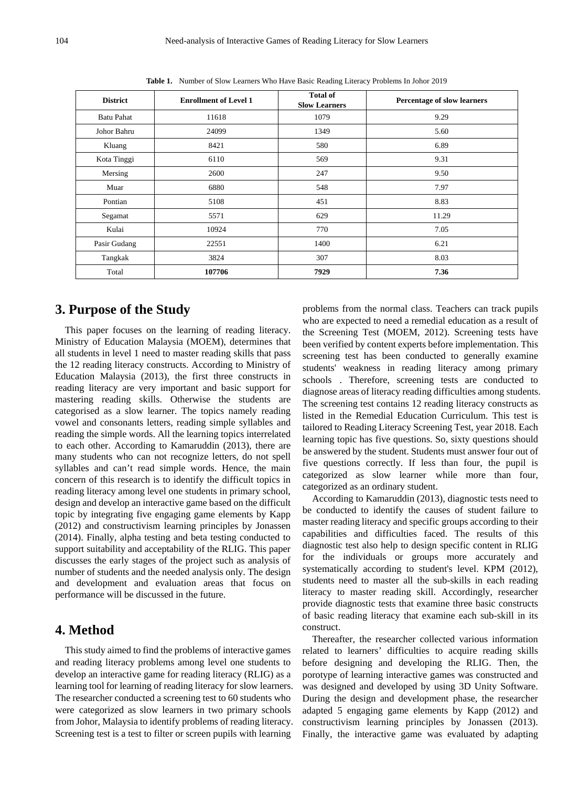| <b>District</b>   | <b>Enrollment of Level 1</b> | <b>Total of</b><br><b>Slow Learners</b> | Percentage of slow learners |  |
|-------------------|------------------------------|-----------------------------------------|-----------------------------|--|
| <b>Batu Pahat</b> | 11618                        | 1079                                    | 9.29                        |  |
| Johor Bahru       | 24099                        | 1349                                    | 5.60                        |  |
| Kluang            | 8421                         | 580                                     | 6.89                        |  |
| Kota Tinggi       | 6110                         | 569                                     | 9.31                        |  |
| Mersing           | 2600                         | 247                                     | 9.50                        |  |
| Muar              | 6880                         | 548                                     | 7.97                        |  |
| Pontian           | 5108                         | 451                                     | 8.83                        |  |
| Segamat           | 5571                         | 629                                     | 11.29                       |  |
| Kulai             | 10924                        | 770                                     | 7.05                        |  |
| Pasir Gudang      | 22551                        | 1400                                    | 6.21                        |  |
| Tangkak           | 3824                         | 307                                     | 8.03                        |  |
| Total             | 107706                       | 7929                                    | 7.36                        |  |

**Table 1.** Number of Slow Learners Who Have Basic Reading Literacy Problems In Johor 2019

## **3. Purpose of the Study**

This paper focuses on the learning of reading literacy. Ministry of Education Malaysia (MOEM), determines that all students in level 1 need to master reading skills that pass the 12 reading literacy constructs. According to Ministry of Education Malaysia (2013), the first three constructs in reading literacy are very important and basic support for mastering reading skills. Otherwise the students are categorised as a slow learner. The topics namely reading vowel and consonants letters, reading simple syllables and reading the simple words. All the learning topics interrelated to each other. According to Kamaruddin (2013), there are many students who can not recognize letters, do not spell syllables and can't read simple words. Hence, the main concern of this research is to identify the difficult topics in reading literacy among level one students in primary school, design and develop an interactive game based on the difficult topic by integrating five engaging game elements by Kapp (2012) and constructivism learning principles by Jonassen (2014). Finally, alpha testing and beta testing conducted to support suitability and acceptability of the RLIG. This paper discusses the early stages of the project such as analysis of number of students and the needed analysis only. The design and development and evaluation areas that focus on performance will be discussed in the future.

### **4. Method**

This study aimed to find the problems of interactive games and reading literacy problems among level one students to develop an interactive game for reading literacy (RLIG) as a learning tool for learning of reading literacy for slow learners. The researcher conducted a screening test to 60 students who were categorized as slow learners in two primary schools from Johor, Malaysia to identify problems of reading literacy. Screening test is a test to filter or screen pupils with learning

problems from the normal class. Teachers can track pupils who are expected to need a remedial education as a result of the Screening Test (MOEM, 2012). Screening tests have been verified by content experts before implementation. This screening test has been conducted to generally examine students' weakness in reading literacy among primary schools . Therefore, screening tests are conducted to diagnose areas of literacy reading difficulties among students. The screening test contains 12 reading literacy constructs as listed in the Remedial Education Curriculum. This test is tailored to Reading Literacy Screening Test, year 2018. Each learning topic has five questions. So, sixty questions should be answered by the student. Students must answer four out of five questions correctly. If less than four, the pupil is categorized as slow learner while more than four, categorized as an ordinary student.

According to Kamaruddin (2013), diagnostic tests need to be conducted to identify the causes of student failure to master reading literacy and specific groups according to their capabilities and difficulties faced. The results of this diagnostic test also help to design specific content in RLIG for the individuals or groups more accurately and systematically according to student's level. KPM (2012), students need to master all the sub-skills in each reading literacy to master reading skill. Accordingly, researcher provide diagnostic tests that examine three basic constructs of basic reading literacy that examine each sub-skill in its construct.

Thereafter, the researcher collected various information related to learners' difficulties to acquire reading skills before designing and developing the RLIG. Then, the porotype of learning interactive games was constructed and was designed and developed by using 3D Unity Software. During the design and development phase, the researcher adapted 5 engaging game elements by Kapp (2012) and constructivism learning principles by Jonassen (2013). Finally, the interactive game was evaluated by adapting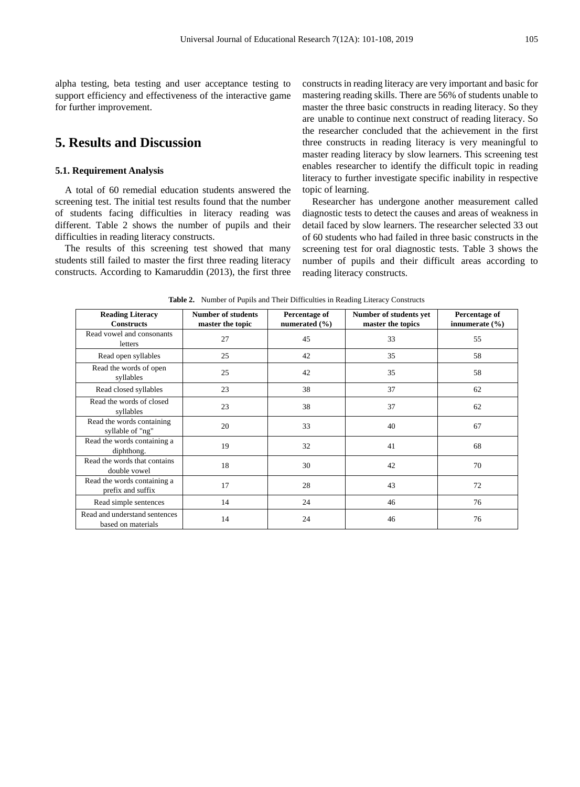alpha testing, beta testing and user acceptance testing to support efficiency and effectiveness of the interactive game for further improvement.

# **5. Results and Discussion**

#### **5.1. Requirement Analysis**

A total of 60 remedial education students answered the screening test. The initial test results found that the number of students facing difficulties in literacy reading was different. Table 2 shows the number of pupils and their difficulties in reading literacy constructs.

The results of this screening test showed that many students still failed to master the first three reading literacy constructs. According to Kamaruddin (2013), the first three constructs in reading literacy are very important and basic for mastering reading skills. There are 56% of students unable to master the three basic constructs in reading literacy. So they are unable to continue next construct of reading literacy. So the researcher concluded that the achievement in the first three constructs in reading literacy is very meaningful to master reading literacy by slow learners. This screening test enables researcher to identify the difficult topic in reading literacy to further investigate specific inability in respective topic of learning.

Researcher has undergone another measurement called diagnostic tests to detect the causes and areas of weakness in detail faced by slow learners. The researcher selected 33 out of 60 students who had failed in three basic constructs in the screening test for oral diagnostic tests. Table 3 shows the number of pupils and their difficult areas according to reading literacy constructs.

| <b>Reading Literacy</b><br><b>Constructs</b>        | <b>Number of students</b><br>master the topic | Percentage of<br>numerated $(\% )$ | Number of students yet<br>master the topics | Percentage of<br>innumerate $(\% )$ |
|-----------------------------------------------------|-----------------------------------------------|------------------------------------|---------------------------------------------|-------------------------------------|
| Read vowel and consonants<br>letters                | 27                                            | 45                                 | 33                                          | 55                                  |
| Read open syllables                                 | 25                                            | 42                                 | 35                                          | 58                                  |
| Read the words of open<br>syllables                 | 25                                            | 42                                 | 35                                          | 58                                  |
| Read closed syllables                               | 23                                            | 38                                 | 37                                          | 62                                  |
| Read the words of closed<br>syllables               | 23                                            | 38                                 | 37                                          | 62                                  |
| Read the words containing<br>syllable of "ng"       | 20                                            | 33                                 | 40                                          | 67                                  |
| Read the words containing a<br>diphthong.           | 19                                            | 32                                 | 41                                          | 68                                  |
| Read the words that contains<br>double vowel        | 18                                            | 30                                 | 42                                          | 70                                  |
| Read the words containing a<br>prefix and suffix    | 17                                            | 28                                 | 43                                          | 72                                  |
| Read simple sentences                               | 14                                            | 24                                 | 46                                          | 76                                  |
| Read and understand sentences<br>based on materials | 14                                            | 24                                 | 46                                          | 76                                  |

**Table 2.** Number of Pupils and Their Difficulties in Reading Literacy Constructs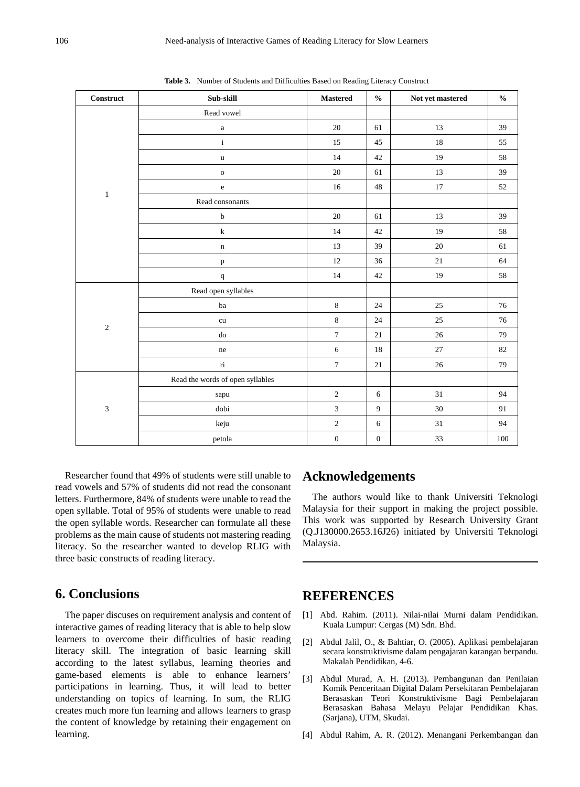| <b>Construct</b>          | Sub-skill                        | <b>Mastered</b>  | $\mathbf{0}_{\mathbf{0}}^{\prime}$ | Not yet mastered | $\frac{0}{0}$ |
|---------------------------|----------------------------------|------------------|------------------------------------|------------------|---------------|
| $\mathbf{1}$              | Read vowel                       |                  |                                    |                  |               |
|                           | $\rm{a}$                         | $20\,$           | 61                                 | 13               | 39            |
|                           | $\mathbf{i}$                     | 15               | 45                                 | 18               | 55            |
|                           | $\mathbf u$                      | 14               | $42\,$                             | 19               | 58            |
|                           | $\mathbf{o}$                     | $20\,$           | 61                                 | 13               | 39            |
|                           | $\rm e$                          | 16               | $48\,$                             | $17\,$           | 52            |
|                           | Read consonants                  |                  |                                    |                  |               |
|                           | $\bf b$                          | $20\,$           | 61                                 | 13               | 39            |
|                           | ${\bf k}$                        | 14               | 42                                 | 19               | 58            |
|                           | $\mathbf n$                      | 13               | 39                                 | $20\,$           | 61            |
|                           | $\, {\bf p}$                     | $12\,$           | 36                                 | $21\,$           | 64            |
|                           | $\bf q$                          | 14               | $42\,$                             | 19               | 58            |
| $\sqrt{2}$                | Read open syllables              |                  |                                    |                  |               |
|                           | ba                               | $\,8\,$          | 24                                 | $25\,$           | 76            |
|                           | ${\rm cu}$                       | $\,$ 8 $\,$      | 24                                 | 25               | 76            |
|                           | do                               | $\boldsymbol{7}$ | $21\,$                             | $26\,$           | 79            |
|                           | ne                               | $\sqrt{6}$       | 18                                 | 27               | 82            |
|                           | $\rm{ri}$                        | $\boldsymbol{7}$ | $21\,$                             | $26\,$           | 79            |
| $\ensuremath{\mathbf{3}}$ | Read the words of open syllables |                  |                                    |                  |               |
|                           | sapu                             | $\sqrt{2}$       | 6                                  | 31               | 94            |
|                           | dobi                             | $\mathfrak z$    | 9                                  | 30               | 91            |
|                           | keju                             | $\sqrt{2}$       | $\sqrt{6}$                         | 31               | 94            |
|                           | petola                           | $\boldsymbol{0}$ | $\boldsymbol{0}$                   | 33               | 100           |

**Table 3.** Number of Students and Difficulties Based on Reading Literacy Construct

Researcher found that 49% of students were still unable to read vowels and 57% of students did not read the consonant letters. Furthermore, 84% of students were unable to read the open syllable. Total of 95% of students were unable to read the open syllable words. Researcher can formulate all these problems as the main cause of students not mastering reading literacy. So the researcher wanted to develop RLIG with three basic constructs of reading literacy.

# **6. Conclusions**

The paper discuses on requirement analysis and content of interactive games of reading literacy that is able to help slow learners to overcome their difficulties of basic reading literacy skill. The integration of basic learning skill according to the latest syllabus, learning theories and game-based elements is able to enhance learners' participations in learning. Thus, it will lead to better understanding on topics of learning. In sum, the RLIG creates much more fun learning and allows learners to grasp the content of knowledge by retaining their engagement on learning.

## **Acknowledgements**

The authors would like to thank Universiti Teknologi Malaysia for their support in making the project possible. This work was supported by Research University Grant (Q.J130000.2653.16J26) initiated by Universiti Teknologi Malaysia.

## **REFERENCES**

- [1] Abd. Rahim. (2011). Nilai-nilai Murni dalam Pendidikan. Kuala Lumpur: Cergas (M) Sdn. Bhd.
- [2] Abdul Jalil, O., & Bahtiar, O. (2005). Aplikasi pembelajaran secara konstruktivisme dalam pengajaran karangan berpandu. Makalah Pendidikan, 4-6.
- [3] Abdul Murad, A. H. (2013). Pembangunan dan Penilaian Komik Penceritaan Digital Dalam Persekitaran Pembelajaran Berasaskan Teori Konstruktivisme Bagi Pembelajaran Berasaskan Bahasa Melayu Pelajar Pendidikan Khas. (Sarjana), UTM, Skudai.
- [4] Abdul Rahim, A. R. (2012). Menangani Perkembangan dan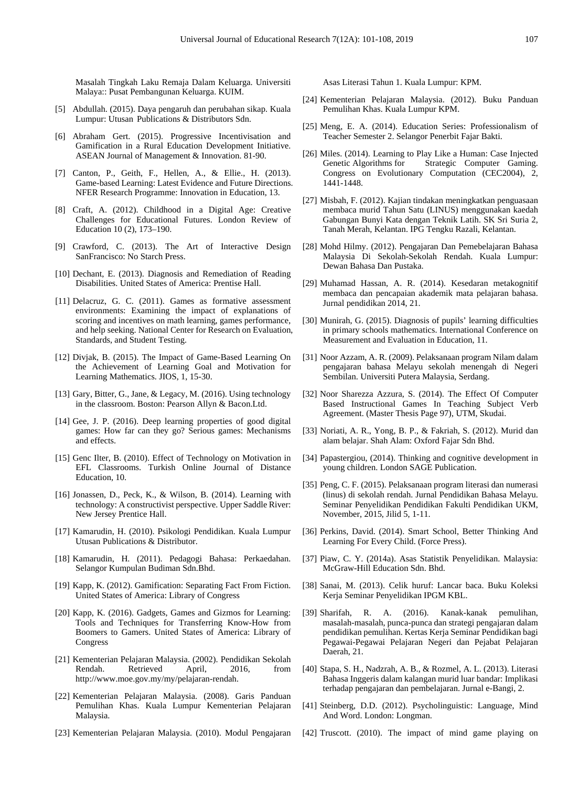Masalah Tingkah Laku Remaja Dalam Keluarga. Universiti Malaya:: Pusat Pembangunan Keluarga. KUIM.

- [5] Abdullah. (2015). Daya pengaruh dan perubahan sikap. Kuala Lumpur: Utusan Publications & Distributors Sdn.
- [6] Abraham Gert. (2015). Progressive Incentivisation and Gamification in a Rural Education Development Initiative. ASEAN Journal of Management & Innovation. 81-90.
- [7] Canton, P., Geith, F., Hellen, A., & Ellie., H. (2013). Game-based Learning: Latest Evidence and Future Directions. NFER Research Programme: Innovation in Education, 13.
- [8] Craft, A. (2012). Childhood in a Digital Age: Creative Challenges for Educational Futures. London Review of Education 10 (2), 173–190.
- [9] Crawford, C. (2013). The Art of Interactive Design SanFrancisco: No Starch Press.
- [10] Dechant, E. (2013). Diagnosis and Remediation of Reading Disabilities. United States of America: Prentise Hall.
- [11] Delacruz, G. C. (2011). Games as formative assessment environments: Examining the impact of explanations of scoring and incentives on math learning, games performance, and help seeking. National Center for Research on Evaluation, Standards, and Student Testing.
- [12] Divjak, B. (2015). The Impact of Game-Based Learning On the Achievement of Learning Goal and Motivation for Learning Mathematics. JIOS, 1, 15-30.
- [13] Gary, Bitter, G., Jane, & Legacy, M. (2016). Using technology in the classroom. Boston: Pearson Allyn & Bacon.Ltd.
- [14] Gee, J. P. (2016). Deep learning properties of good digital games: How far can they go? Serious games: Mechanisms and effects.
- [15] Genc Ilter, B. (2010). Effect of Technology on Motivation in EFL Classrooms. Turkish Online Journal of Distance Education, 10.
- [16] Jonassen, D., Peck, K., & Wilson, B. (2014). Learning with technology: A constructivist perspective. Upper Saddle River: New Jersey Prentice Hall.
- [17] Kamarudin, H. (2010). Psikologi Pendidikan. Kuala Lumpur Utusan Publications & Distributor.
- [18] Kamarudin, H. (2011). Pedagogi Bahasa: Perkaedahan. Selangor Kumpulan Budiman Sdn.Bhd.
- [19] Kapp, K. (2012). Gamification: Separating Fact From Fiction. United States of America: Library of Congress
- [20] Kapp, K. (2016). Gadgets, Games and Gizmos for Learning: Tools and Techniques for Transferring Know-How from Boomers to Gamers. United States of America: Library of Congress
- [21] Kementerian Pelajaran Malaysia. (2002). Pendidikan Sekolah Retrieved [http://www.moe.gov.my/my/pelajaran-rendah.](http://www.moe.gov.my/my/pelajaran-rendah)
- [22] Kementerian Pelajaran Malaysia. (2008). Garis Panduan Pemulihan Khas. Kuala Lumpur Kementerian Pelajaran Malaysia.
- [23] Kementerian Pelajaran Malaysia. (2010). Modul Pengajaran

Asas Literasi Tahun 1. Kuala Lumpur: KPM.

- [24] Kementerian Pelajaran Malaysia. (2012). Buku Panduan Pemulihan Khas. Kuala Lumpur KPM.
- [25] Meng, E. A. (2014). Education Series: Professionalism of Teacher Semester 2. Selangor Penerbit Fajar Bakti.
- [26] Miles. (2014). Learning to Play Like a Human: Case Injected Strategic Computer Gaming. Congress on Evolutionary Computation (CEC2004), 2, 1441-1448.
- [27] Misbah, F. (2012). Kajian tindakan meningkatkan penguasaan membaca murid Tahun Satu (LINUS) menggunakan kaedah Gabungan Bunyi Kata dengan Teknik Latih. SK Sri Suria 2, Tanah Merah, Kelantan. IPG Tengku Razali, Kelantan.
- [28] Mohd Hilmy. (2012). Pengajaran Dan Pemebelajaran Bahasa Malaysia Di Sekolah-Sekolah Rendah. Kuala Lumpur: Dewan Bahasa Dan Pustaka.
- [29] Muhamad Hassan, A. R. (2014). Kesedaran metakognitif membaca dan pencapaian akademik mata pelajaran bahasa. Jurnal pendidikan 2014, 21.
- [30] Munirah, G. (2015). Diagnosis of pupils' learning difficulties in primary schools mathematics. International Conference on Measurement and Evaluation in Education, 11.
- [31] Noor Azzam, A. R. (2009). Pelaksanaan program Nilam dalam pengajaran bahasa Melayu sekolah menengah di Negeri Sembilan. Universiti Putera Malaysia, Serdang.
- [32] Noor Sharezza Azzura, S. (2014). The Effect Of Computer Based Instructional Games In Teaching Subject Verb Agreement. (Master Thesis Page 97), UTM, Skudai.
- [33] Noriati, A. R., Yong, B. P., & Fakriah, S. (2012). Murid dan alam belajar. Shah Alam: Oxford Fajar Sdn Bhd.
- [34] Papastergiou, (2014). Thinking and cognitive development in young children. London SAGE Publication.
- [35] Peng, C. F. (2015). Pelaksanaan program literasi dan numerasi (linus) di sekolah rendah. Jurnal Pendidikan Bahasa Melayu. Seminar Penyelidikan Pendidikan Fakulti Pendidikan UKM, November, 2015, Jilid 5, 1-11.
- [36] Perkins, David. (2014). Smart School, Better Thinking And Learning For Every Child. (Force Press).
- [37] Piaw, C. Y. (2014a). Asas Statistik Penyelidikan. Malaysia: McGraw-Hill Education Sdn. Bhd.
- [38] Sanai, M. (2013). Celik huruf: Lancar baca. Buku Koleksi Kerja Seminar Penyelidikan IPGM KBL.
- [39] Sharifah, R. A. (2016). Kanak-kanak pemulihan, masalah-masalah, punca-punca dan strategi pengajaran dalam pendidikan pemulihan. Kertas Kerja Seminar Pendidikan bagi Pegawai-Pegawai Pelajaran Negeri dan Pejabat Pelajaran Daerah, 21.
- [40] Stapa, S. H., Nadzrah, A. B., & Rozmel, A. L. (2013). Literasi Bahasa Inggeris dalam kalangan murid luar bandar: Implikasi terhadap pengajaran dan pembelajaran. Jurnal e-Bangi, 2.
- [41] Steinberg, D.D. (2012). Psycholinguistic: Language, Mind And Word. London: Longman.
- [42] Truscott. (2010). The impact of mind game playing on